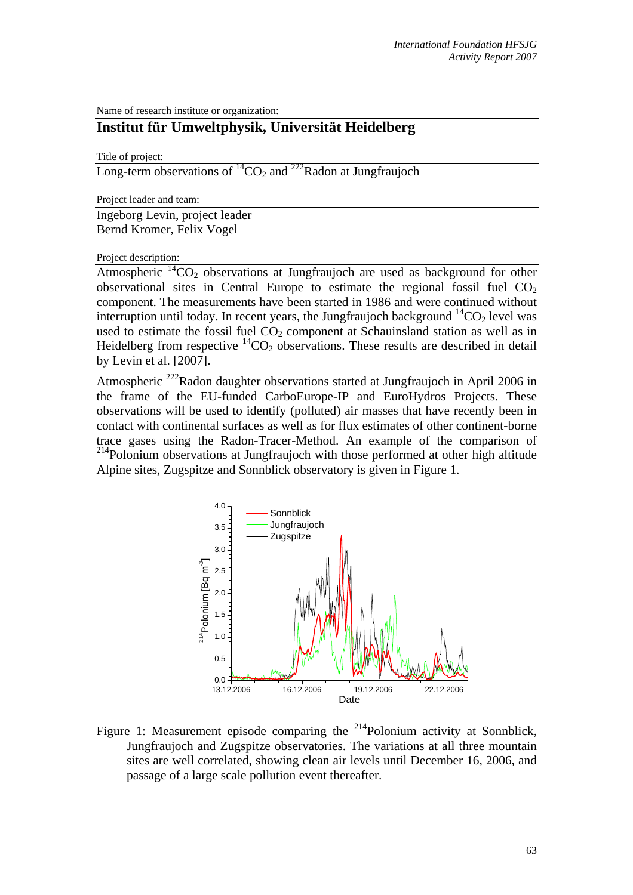Name of research institute or organization:

## **Institut für Umweltphysik, Universität Heidelberg**

Title of project:

Long-term observations of  ${}^{14}CO_2$  and  ${}^{222}$ Radon at Jungfraujoch

Project leader and team:

Ingeborg Levin, project leader Bernd Kromer, Felix Vogel

Project description:

Atmospheric  ${}^{14}CO_2$  observations at Jungfraujoch are used as background for other observational sites in Central Europe to estimate the regional fossil fuel  $CO<sub>2</sub>$ component. The measurements have been started in 1986 and were continued without interruption until today. In recent years, the Jungfraujoch background  ${}^{14}CO_2$  level was used to estimate the fossil fuel  $CO<sub>2</sub>$  component at Schauinsland station as well as in Heidelberg from respective  ${}^{14}CO_2$  observations. These results are described in detail by Levin et al. [2007].

Atmospheric <sup>222</sup>Radon daughter observations started at Jungfraujoch in April 2006 in the frame of the EU-funded CarboEurope-IP and EuroHydros Projects. These observations will be used to identify (polluted) air masses that have recently been in contact with continental surfaces as well as for flux estimates of other continent-borne trace gases using the Radon-Tracer-Method. An example of the comparison of <sup>214</sup>Polonium observations at Jungfraujoch with those performed at other high altitude Alpine sites, Zugspitze and Sonnblick observatory is given in Figure 1.



Figure 1: Measurement episode comparing the  $^{214}$ Polonium activity at Sonnblick, Jungfraujoch and Zugspitze observatories. The variations at all three mountain sites are well correlated, showing clean air levels until December 16, 2006, and passage of a large scale pollution event thereafter.